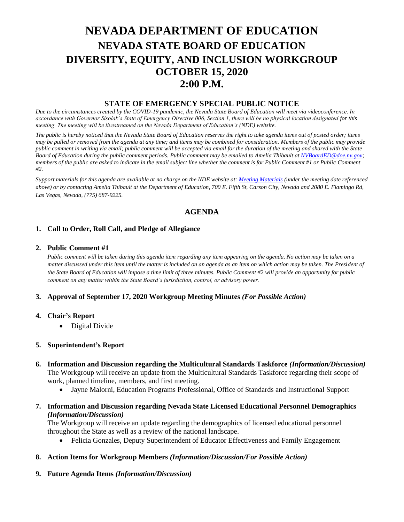# **NEVADA DEPARTMENT OF EDUCATION NEVADA STATE BOARD OF EDUCATION DIVERSITY, EQUITY, AND INCLUSION WORKGROUP OCTOBER 15, 2020 2:00 P.M.**

## **STATE OF EMERGENCY SPECIAL PUBLIC NOTICE**

*Due to the circumstances created by the COVID-19 pandemic, the Nevada State Board of Education will meet via videoconference. In accordance with Governor Sisolak's State of Emergency Directive 006, Section 1, there will be no physical location designated for this meeting. The meeting will be livestreamed on the Nevada Department of Education's (NDE) website.* 

*The public is hereby noticed that the Nevada State Board of Education reserves the right to take agenda items out of posted order; items may be pulled or removed from the agenda at any time; and items may be combined for consideration. Members of the public may provide public comment in writing via email; public comment will be accepted via email for the duration of the meeting and shared with the State Board of Education during the public comment periods. Public comment may be emailed to Amelia Thibault at [NVBoardED@doe.nv.gov;](mailto:NVBoardED@doe.nv.gov) members of the public are asked to indicate in the email subject line whether the comment is for Public Comment #1 or Public Comment #2.* 

*Support materials for this agenda are available at no charge on the NDE website at[: Meeting Materials](http://www.doe.nv.gov/Boards_Commissions_Councils/State_Board_of_Education/Meeting_Materials/) (under the meeting date referenced above) or by contacting Amelia Thibault at the Department of Education, 700 E. Fifth St, Carson City, Nevada and 2080 E. Flamingo Rd, Las Vegas, Nevada, (775) 687-9225.*

# **AGENDA**

## **1. Call to Order, Roll Call, and Pledge of Allegiance**

#### **2. Public Comment #1**

*Public comment will be taken during this agenda item regarding any item appearing on the agenda. No action may be taken on a matter discussed under this item until the matter is included on an agenda as an item on which action may be taken. The President of the State Board of Education will impose a time limit of three minutes. Public Comment #2 will provide an opportunity for public comment on any matter within the State Board's jurisdiction, control, or advisory power.*

#### **3. Approval of September 17, 2020 Workgroup Meeting Minutes** *(For Possible Action)*

#### **4. Chair's Report**

• Digital Divide

#### **5. Superintendent's Report**

- **6. Information and Discussion regarding the Multicultural Standards Taskforce** *(Information/Discussion)* The Workgroup will receive an update from the Multicultural Standards Taskforce regarding their scope of work, planned timeline, members, and first meeting.
	- Jayne Malorni, Education Programs Professional, Office of Standards and Instructional Support
- **7. Information and Discussion regarding Nevada State Licensed Educational Personnel Demographics**  *(Information/Discussion)*

The Workgroup will receive an update regarding the demographics of licensed educational personnel throughout the State as well as a review of the national landscape.

• Felicia Gonzales, Deputy Superintendent of Educator Effectiveness and Family Engagement

#### **8. Action Items for Workgroup Members** *(Information/Discussion/For Possible Action)*

**9. Future Agenda Items** *(Information/Discussion)*